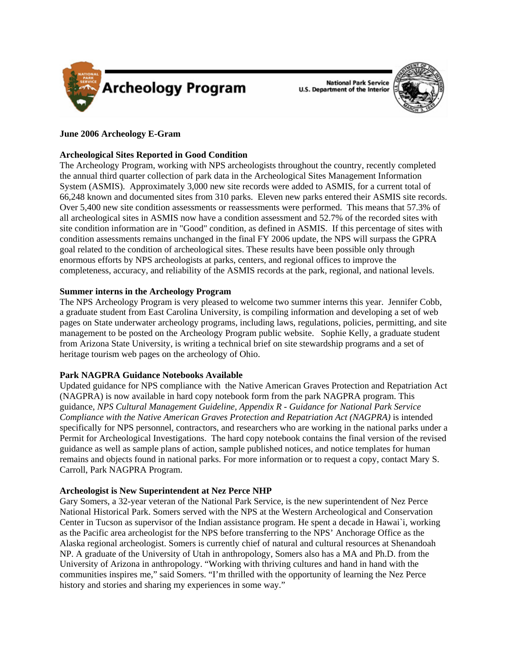

**National Park Service U.S. Department of the Interior** 



# **June 2006 Archeology E-Gram**

# **Archeological Sites Reported in Good Condition**

The Archeology Program, working with NPS archeologists throughout the country, recently completed the annual third quarter collection of park data in the Archeological Sites Management Information System (ASMIS). Approximately 3,000 new site records were added to ASMIS, for a current total of 66,248 known and documented sites from 310 parks. Eleven new parks entered their ASMIS site records. Over 5,400 new site condition assessments or reassessments were performed. This means that 57.3% of all archeological sites in ASMIS now have a condition assessment and 52.7% of the recorded sites with site condition information are in "Good" condition, as defined in ASMIS. If this percentage of sites with condition assessments remains unchanged in the final FY 2006 update, the NPS will surpass the GPRA goal related to the condition of archeological sites. These results have been possible only through enormous efforts by NPS archeologists at parks, centers, and regional offices to improve the completeness, accuracy, and reliability of the ASMIS records at the park, regional, and national levels.

### **Summer interns in the Archeology Program**

The NPS Archeology Program is very pleased to welcome two summer interns this year. Jennifer Cobb, a graduate student from East Carolina University, is compiling information and developing a set of web pages on State underwater archeology programs, including laws, regulations, policies, permitting, and site management to be posted on the Archeology Program public website. Sophie Kelly, a graduate student from Arizona State University, is writing a technical brief on site stewardship programs and a set of heritage tourism web pages on the archeology of Ohio.

### **Park NAGPRA Guidance Notebooks Available**

Updated guidance for NPS compliance with the Native American Graves Protection and Repatriation Act (NAGPRA) is now available in hard copy notebook form from the park NAGPRA program. This guidance, *NPS Cultural Management Guideline, Appendix R - Guidance for National Park Service Compliance with the Native American Graves Protection and Repatriation Act (NAGPRA)* is intended specifically for NPS personnel, contractors, and researchers who are working in the national parks under a Permit for Archeological Investigations. The hard copy notebook contains the final version of the revised guidance as well as sample plans of action, sample published notices, and notice templates for human remains and objects found in national parks. For more information or to request a copy, contact Mary S. Carroll, Park NAGPRA Program.

### **Archeologist is New Superintendent at Nez Perce NHP**

Gary Somers, a 32-year veteran of the National Park Service, is the new superintendent of Nez Perce National Historical Park. Somers served with the NPS at the Western Archeological and Conservation Center in Tucson as supervisor of the Indian assistance program. He spent a decade in Hawai`i, working as the Pacific area archeologist for the NPS before transferring to the NPS' Anchorage Office as the Alaska regional archeologist. Somers is currently chief of natural and cultural resources at Shenandoah NP. A graduate of the University of Utah in anthropology, Somers also has a MA and Ph.D. from the University of Arizona in anthropology. "Working with thriving cultures and hand in hand with the communities inspires me," said Somers. "I'm thrilled with the opportunity of learning the Nez Perce history and stories and sharing my experiences in some way."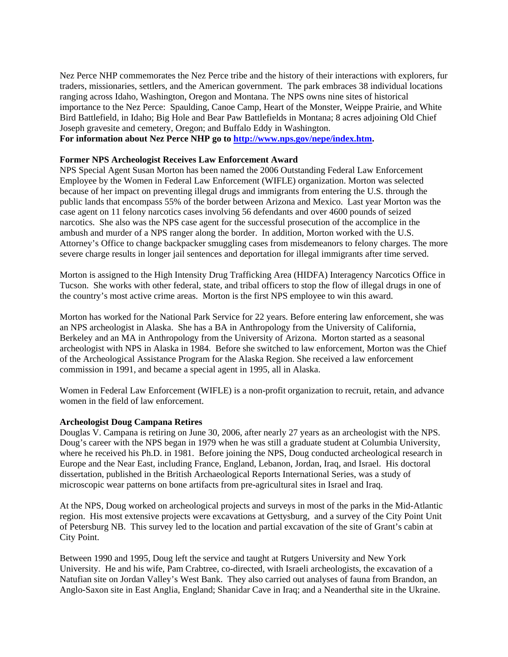Nez Perce NHP commemorates the Nez Perce tribe and the history of their interactions with explorers, fur traders, missionaries, settlers, and the American government. The park embraces 38 individual locations ranging across Idaho, Washington, Oregon and Montana. The NPS owns nine sites of historical importance to the Nez Perce: Spaulding, Canoe Camp, Heart of the Monster, Weippe Prairie, and White Bird Battlefield, in Idaho; Big Hole and Bear Paw Battlefields in Montana; 8 acres adjoining Old Chief Joseph gravesite and cemetery, Oregon; and Buffalo Eddy in Washington. **For information about Nez Perce NHP go to [http://www.nps.gov/nepe/index.htm.](http://www.nps.gov/nepe/index.htm)** 

# **Former NPS Archeologist Receives Law Enforcement Award**

NPS Special Agent Susan Morton has been named the 2006 Outstanding Federal Law Enforcement Employee by the Women in Federal Law Enforcement (WIFLE) organization. Morton was selected because of her impact on preventing illegal drugs and immigrants from entering the U.S. through the public lands that encompass 55% of the border between Arizona and Mexico. Last year Morton was the case agent on 11 felony narcotics cases involving 56 defendants and over 4600 pounds of seized narcotics. She also was the NPS case agent for the successful prosecution of the accomplice in the ambush and murder of a NPS ranger along the border. In addition, Morton worked with the U.S. Attorney's Office to change backpacker smuggling cases from misdemeanors to felony charges. The more severe charge results in longer jail sentences and deportation for illegal immigrants after time served.

Morton is assigned to the High Intensity Drug Trafficking Area (HIDFA) Interagency Narcotics Office in Tucson. She works with other federal, state, and tribal officers to stop the flow of illegal drugs in one of the country's most active crime areas. Morton is the first NPS employee to win this award.

Morton has worked for the National Park Service for 22 years. Before entering law enforcement, she was an NPS archeologist in Alaska. She has a BA in Anthropology from the University of California, Berkeley and an MA in Anthropology from the University of Arizona. Morton started as a seasonal archeologist with NPS in Alaska in 1984. Before she switched to law enforcement, Morton was the Chief of the Archeological Assistance Program for the Alaska Region. She received a law enforcement commission in 1991, and became a special agent in 1995, all in Alaska.

Women in Federal Law Enforcement (WIFLE) is a non-profit organization to recruit, retain, and advance women in the field of law enforcement.

### **Archeologist Doug Campana Retires**

Douglas V. Campana is retiring on June 30, 2006, after nearly 27 years as an archeologist with the NPS. Doug's career with the NPS began in 1979 when he was still a graduate student at Columbia University, where he received his Ph.D. in 1981. Before joining the NPS, Doug conducted archeological research in Europe and the Near East, including France, England, Lebanon, Jordan, Iraq, and Israel. His doctoral dissertation, published in the British Archaeological Reports International Series, was a study of microscopic wear patterns on bone artifacts from pre-agricultural sites in Israel and Iraq.

At the NPS, Doug worked on archeological projects and surveys in most of the parks in the Mid-Atlantic region. His most extensive projects were excavations at Gettysburg, and a survey of the City Point Unit of Petersburg NB. This survey led to the location and partial excavation of the site of Grant's cabin at City Point.

Between 1990 and 1995, Doug left the service and taught at Rutgers University and New York University. He and his wife, Pam Crabtree, co-directed, with Israeli archeologists, the excavation of a Natufian site on Jordan Valley's West Bank. They also carried out analyses of fauna from Brandon, an Anglo-Saxon site in East Anglia, England; Shanidar Cave in Iraq; and a Neanderthal site in the Ukraine.